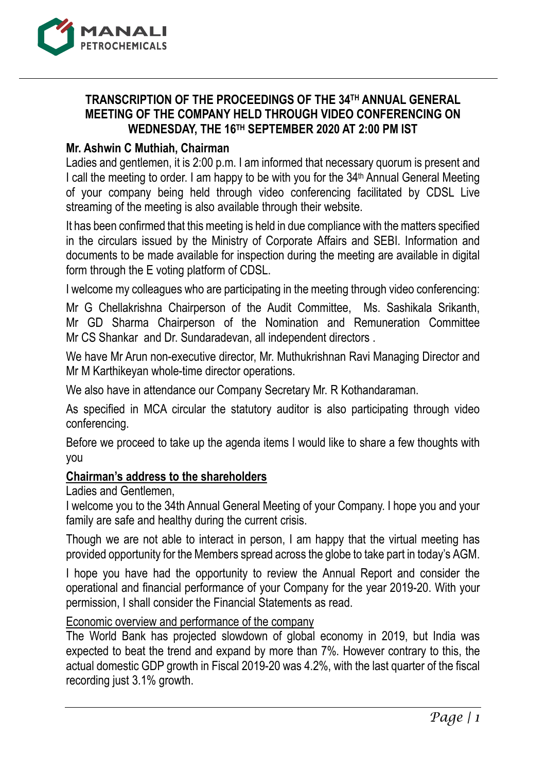

# **TRANSCRIPTION OF THE PROCEEDINGS OF THE 34TH ANNUAL GENERAL MEETING OF THE COMPANY HELD THROUGH VIDEO CONFERENCING ON WEDNESDAY, THE 16TH SEPTEMBER 2020 AT 2:00 PM IST**

## **Mr. Ashwin C Muthiah, Chairman**

Ladies and gentlemen, it is 2:00 p.m. I am informed that necessary quorum is present and I call the meeting to order. I am happy to be with you for the 34<sup>th</sup> Annual General Meeting of your company being held through video conferencing facilitated by CDSL Live streaming of the meeting is also available through their website.

It has been confirmed that this meeting is held in due compliance with the matters specified in the circulars issued by the Ministry of Corporate Affairs and SEBI. Information and documents to be made available for inspection during the meeting are available in digital form through the E voting platform of CDSL.

I welcome my colleagues who are participating in the meeting through video conferencing:

Mr G Chellakrishna Chairperson of the Audit Committee, Ms. Sashikala Srikanth, Mr GD Sharma Chairperson of the Nomination and Remuneration Committee Mr CS Shankar and Dr. Sundaradevan, all independent directors .

We have Mr Arun non-executive director, Mr. Muthukrishnan Ravi Managing Director and Mr M Karthikeyan whole-time director operations.

We also have in attendance our Company Secretary Mr. R Kothandaraman.

As specified in MCA circular the statutory auditor is also participating through video conferencing.

Before we proceed to take up the agenda items I would like to share a few thoughts with you

## **Chairman's address to the shareholders**

Ladies and Gentlemen,

I welcome you to the 34th Annual General Meeting of your Company. I hope you and your family are safe and healthy during the current crisis.

Though we are not able to interact in person, I am happy that the virtual meeting has provided opportunity for the Members spread across the globe to take part in today's AGM.

I hope you have had the opportunity to review the Annual Report and consider the operational and financial performance of your Company for the year 2019-20. With your permission, I shall consider the Financial Statements as read.

#### Economic overview and performance of the company

The World Bank has projected slowdown of global economy in 2019, but India was expected to beat the trend and expand by more than 7%. However contrary to this, the actual domestic GDP growth in Fiscal 2019-20 was 4.2%, with the last quarter of the fiscal recording just 3.1% growth.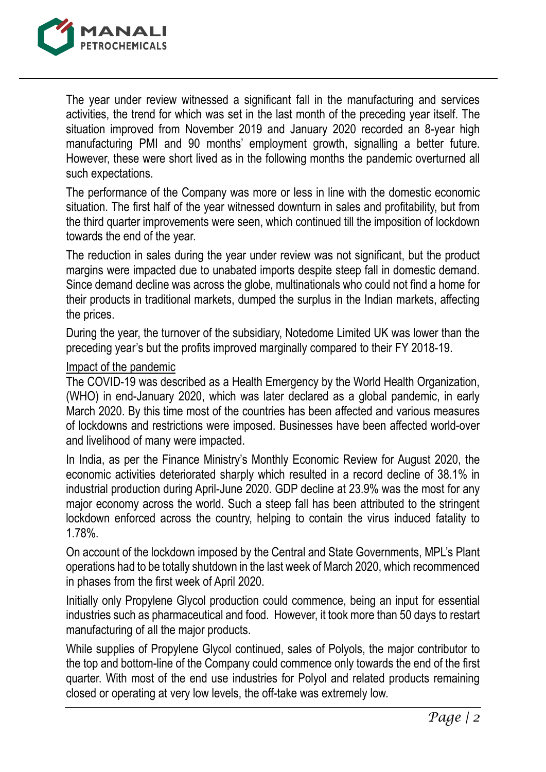

The year under review witnessed a significant fall in the manufacturing and services activities, the trend for which was set in the last month of the preceding year itself. The situation improved from November 2019 and January 2020 recorded an 8-year high manufacturing PMI and 90 months' employment growth, signalling a better future. However, these were short lived as in the following months the pandemic overturned all such expectations.

The performance of the Company was more or less in line with the domestic economic situation. The first half of the year witnessed downturn in sales and profitability, but from the third quarter improvements were seen, which continued till the imposition of lockdown towards the end of the year.

The reduction in sales during the year under review was not significant, but the product margins were impacted due to unabated imports despite steep fall in domestic demand. Since demand decline was across the globe, multinationals who could not find a home for their products in traditional markets, dumped the surplus in the Indian markets, affecting the prices.

During the year, the turnover of the subsidiary, Notedome Limited UK was lower than the preceding year's but the profits improved marginally compared to their FY 2018-19.

## Impact of the pandemic

The COVID-19 was described as a Health Emergency by the World Health Organization, (WHO) in end-January 2020, which was later declared as a global pandemic, in early March 2020. By this time most of the countries has been affected and various measures of lockdowns and restrictions were imposed. Businesses have been affected world-over and livelihood of many were impacted.

In India, as per the Finance Ministry's Monthly Economic Review for August 2020, the economic activities deteriorated sharply which resulted in a record decline of 38.1% in industrial production during April-June 2020. GDP decline at 23.9% was the most for any major economy across the world. Such a steep fall has been attributed to the stringent lockdown enforced across the country, helping to contain the virus induced fatality to 1.78%.

On account of the lockdown imposed by the Central and State Governments, MPL's Plant operations had to be totally shutdown in the last week of March 2020, which recommenced in phases from the first week of April 2020.

Initially only Propylene Glycol production could commence, being an input for essential industries such as pharmaceutical and food. However, it took more than 50 days to restart manufacturing of all the major products.

While supplies of Propylene Glycol continued, sales of Polyols, the major contributor to the top and bottom-line of the Company could commence only towards the end of the first quarter. With most of the end use industries for Polyol and related products remaining closed or operating at very low levels, the off-take was extremely low.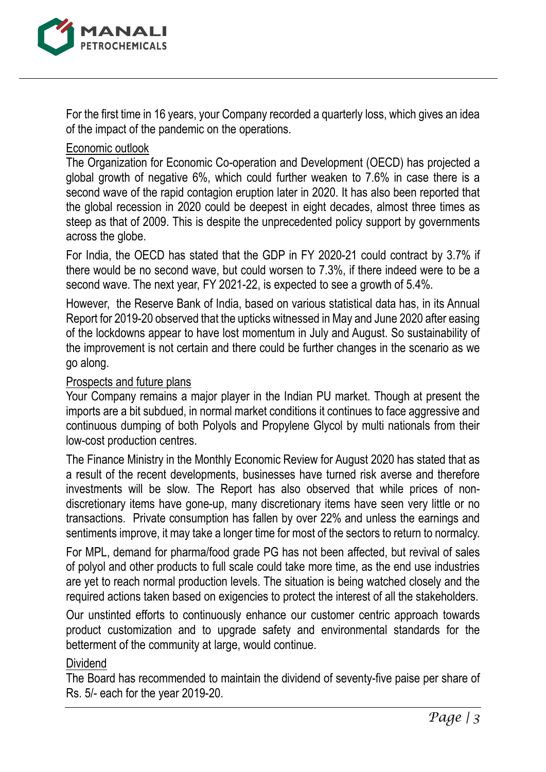

For the first time in 16 years, your Company recorded a quarterly loss, which gives an idea of the impact of the pandemic on the operations.

## Economic outlook

The Organization for Economic Co-operation and Development (OECD) has projected a global growth of negative 6%, which could further weaken to 7.6% in case there is a second wave of the rapid contagion eruption later in 2020. It has also been reported that the global recession in 2020 could be deepest in eight decades, almost three times as steep as that of 2009. This is despite the unprecedented policy support by governments across the globe.

For India, the OECD has stated that the GDP in FY 2020-21 could contract by 3.7% if there would be no second wave, but could worsen to 7.3%, if there indeed were to be a second wave. The next year, FY 2021-22, is expected to see a growth of 5.4%.

However, the Reserve Bank of India, based on various statistical data has, in its Annual Report for 2019-20 observed that the upticks witnessed in May and June 2020 after easing of the lockdowns appear to have lost momentum in July and August. So sustainability of the improvement is not certain and there could be further changes in the scenario as we go along.

## Prospects and future plans

Your Company remains a major player in the Indian PU market. Though at present the imports are a bit subdued, in normal market conditions it continues to face aggressive and continuous dumping of both Polyols and Propylene Glycol by multi nationals from their low-cost production centres.

The Finance Ministry in the Monthly Economic Review for August 2020 has stated that as a result of the recent developments, businesses have turned risk averse and therefore investments will be slow. The Report has also observed that while prices of nondiscretionary items have gone-up, many discretionary items have seen very little or no transactions. Private consumption has fallen by over 22% and unless the earnings and sentiments improve, it may take a longer time for most of the sectors to return to normalcy.

For MPL, demand for pharma/food grade PG has not been affected, but revival of sales of polyol and other products to full scale could take more time, as the end use industries are yet to reach normal production levels. The situation is being watched closely and the required actions taken based on exigencies to protect the interest of all the stakeholders.

Our unstinted efforts to continuously enhance our customer centric approach towards product customization and to upgrade safety and environmental standards for the betterment of the community at large, would continue.

## Dividend

The Board has recommended to maintain the dividend of seventy-five paise per share of Rs. 5/- each for the year 2019-20.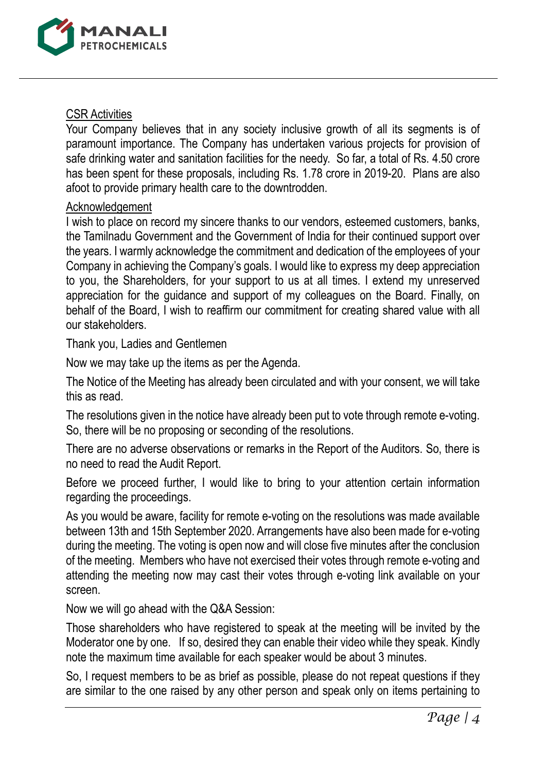

### CSR Activities

Your Company believes that in any society inclusive growth of all its segments is of paramount importance. The Company has undertaken various projects for provision of safe drinking water and sanitation facilities for the needy. So far, a total of Rs. 4.50 crore has been spent for these proposals, including Rs. 1.78 crore in 2019-20. Plans are also afoot to provide primary health care to the downtrodden.

### Acknowledgement

I wish to place on record my sincere thanks to our vendors, esteemed customers, banks, the Tamilnadu Government and the Government of India for their continued support over the years. I warmly acknowledge the commitment and dedication of the employees of your Company in achieving the Company's goals. I would like to express my deep appreciation to you, the Shareholders, for your support to us at all times. I extend my unreserved appreciation for the guidance and support of my colleagues on the Board. Finally, on behalf of the Board, I wish to reaffirm our commitment for creating shared value with all our stakeholders.

Thank you, Ladies and Gentlemen

Now we may take up the items as per the Agenda.

The Notice of the Meeting has already been circulated and with your consent, we will take this as read.

The resolutions given in the notice have already been put to vote through remote e-voting. So, there will be no proposing or seconding of the resolutions.

There are no adverse observations or remarks in the Report of the Auditors. So, there is no need to read the Audit Report.

Before we proceed further, I would like to bring to your attention certain information regarding the proceedings.

As you would be aware, facility for remote e-voting on the resolutions was made available between 13th and 15th September 2020. Arrangements have also been made for e-voting during the meeting. The voting is open now and will close five minutes after the conclusion of the meeting. Members who have not exercised their votes through remote e-voting and attending the meeting now may cast their votes through e-voting link available on your screen.

Now we will go ahead with the Q&A Session:

Those shareholders who have registered to speak at the meeting will be invited by the Moderator one by one. If so, desired they can enable their video while they speak. Kindly note the maximum time available for each speaker would be about 3 minutes.

So, I request members to be as brief as possible, please do not repeat questions if they are similar to the one raised by any other person and speak only on items pertaining to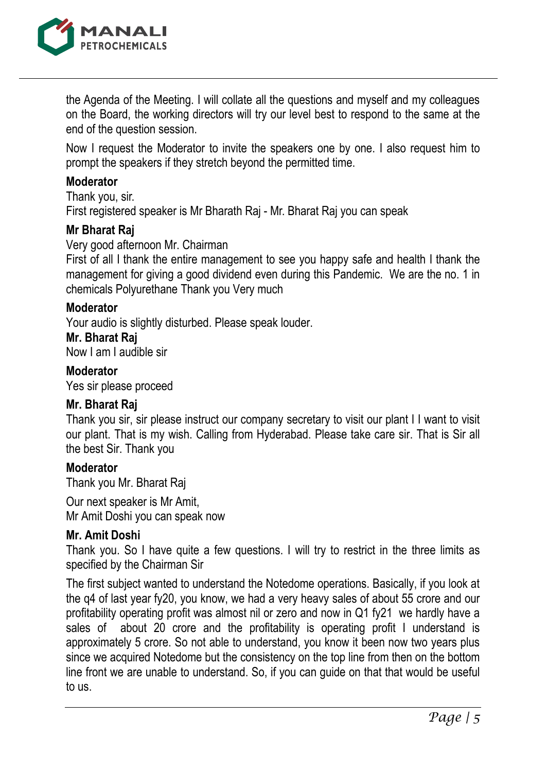

the Agenda of the Meeting. I will collate all the questions and myself and my colleagues on the Board, the working directors will try our level best to respond to the same at the end of the question session.

Now I request the Moderator to invite the speakers one by one. I also request him to prompt the speakers if they stretch beyond the permitted time.

## **Moderator**

Thank you, sir.

First registered speaker is Mr Bharath Raj - Mr. Bharat Raj you can speak

### **Mr Bharat Raj**

Very good afternoon Mr. Chairman

First of all I thank the entire management to see you happy safe and health I thank the management for giving a good dividend even during this Pandemic. We are the no. 1 in chemicals Polyurethane Thank you Very much

### **Moderator**

Your audio is slightly disturbed. Please speak louder.

#### **Mr. Bharat Raj**

Now I am I audible sir

#### **Moderator**

Yes sir please proceed

## **Mr. Bharat Raj**

Thank you sir, sir please instruct our company secretary to visit our plant I I want to visit our plant. That is my wish. Calling from Hyderabad. Please take care sir. That is Sir all the best Sir. Thank you

#### **Moderator**

Thank you Mr. Bharat Raj

Our next speaker is Mr Amit, Mr Amit Doshi you can speak now

## **Mr. Amit Doshi**

Thank you. So I have quite a few questions. I will try to restrict in the three limits as specified by the Chairman Sir

The first subject wanted to understand the Notedome operations. Basically, if you look at the q4 of last year fy20, you know, we had a very heavy sales of about 55 crore and our profitability operating profit was almost nil or zero and now in Q1 fy21 we hardly have a sales of about 20 crore and the profitability is operating profit I understand is approximately 5 crore. So not able to understand, you know it been now two years plus since we acquired Notedome but the consistency on the top line from then on the bottom line front we are unable to understand. So, if you can guide on that that would be useful to us.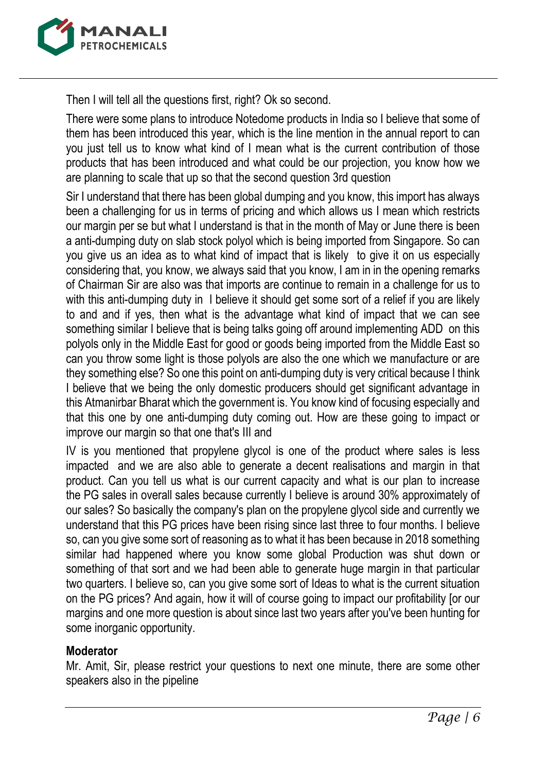

Then I will tell all the questions first, right? Ok so second.

There were some plans to introduce Notedome products in India so I believe that some of them has been introduced this year, which is the line mention in the annual report to can you just tell us to know what kind of I mean what is the current contribution of those products that has been introduced and what could be our projection, you know how we are planning to scale that up so that the second question 3rd question

Sir I understand that there has been global dumping and you know, this import has always been a challenging for us in terms of pricing and which allows us I mean which restricts our margin per se but what I understand is that in the month of May or June there is been a anti-dumping duty on slab stock polyol which is being imported from Singapore. So can you give us an idea as to what kind of impact that is likely to give it on us especially considering that, you know, we always said that you know, I am in in the opening remarks of Chairman Sir are also was that imports are continue to remain in a challenge for us to with this anti-dumping duty in I believe it should get some sort of a relief if you are likely to and and if yes, then what is the advantage what kind of impact that we can see something similar I believe that is being talks going off around implementing ADD on this polyols only in the Middle East for good or goods being imported from the Middle East so can you throw some light is those polyols are also the one which we manufacture or are they something else? So one this point on anti-dumping duty is very critical because I think I believe that we being the only domestic producers should get significant advantage in this Atmanirbar Bharat which the government is. You know kind of focusing especially and that this one by one anti-dumping duty coming out. How are these going to impact or improve our margin so that one that's III and

IV is you mentioned that propylene glycol is one of the product where sales is less impacted and we are also able to generate a decent realisations and margin in that product. Can you tell us what is our current capacity and what is our plan to increase the PG sales in overall sales because currently I believe is around 30% approximately of our sales? So basically the company's plan on the propylene glycol side and currently we understand that this PG prices have been rising since last three to four months. I believe so, can you give some sort of reasoning as to what it has been because in 2018 something similar had happened where you know some global Production was shut down or something of that sort and we had been able to generate huge margin in that particular two quarters. I believe so, can you give some sort of Ideas to what is the current situation on the PG prices? And again, how it will of course going to impact our profitability [or our margins and one more question is about since last two years after you've been hunting for some inorganic opportunity.

# **Moderator**

Mr. Amit, Sir, please restrict your questions to next one minute, there are some other speakers also in the pipeline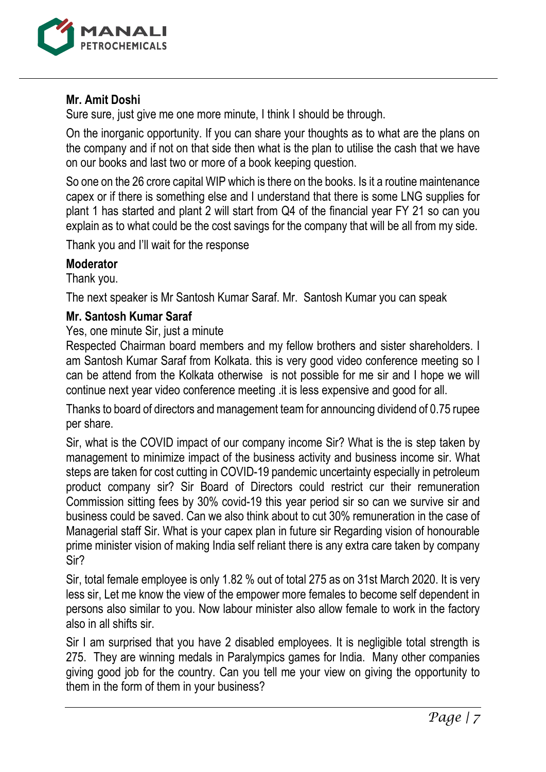

# **Mr. Amit Doshi**

Sure sure, just give me one more minute, I think I should be through.

On the inorganic opportunity. If you can share your thoughts as to what are the plans on the company and if not on that side then what is the plan to utilise the cash that we have on our books and last two or more of a book keeping question.

So one on the 26 crore capital WIP which is there on the books. Is it a routine maintenance capex or if there is something else and I understand that there is some LNG supplies for plant 1 has started and plant 2 will start from Q4 of the financial year FY 21 so can you explain as to what could be the cost savings for the company that will be all from my side.

Thank you and I'll wait for the response

## **Moderator**

Thank you.

The next speaker is Mr Santosh Kumar Saraf. Mr. Santosh Kumar you can speak

## **Mr. Santosh Kumar Saraf**

Yes, one minute Sir, just a minute

Respected Chairman board members and my fellow brothers and sister shareholders. I am Santosh Kumar Saraf from Kolkata. this is very good video conference meeting so I can be attend from the Kolkata otherwise is not possible for me sir and I hope we will continue next year video conference meeting .it is less expensive and good for all.

Thanks to board of directors and management team for announcing dividend of 0.75 rupee per share.

Sir, what is the COVID impact of our company income Sir? What is the is step taken by management to minimize impact of the business activity and business income sir. What steps are taken for cost cutting in COVID-19 pandemic uncertainty especially in petroleum product company sir? Sir Board of Directors could restrict cur their remuneration Commission sitting fees by 30% covid-19 this year period sir so can we survive sir and business could be saved. Can we also think about to cut 30% remuneration in the case of Managerial staff Sir. What is your capex plan in future sir Regarding vision of honourable prime minister vision of making India self reliant there is any extra care taken by company Sir?

Sir, total female employee is only 1.82 % out of total 275 as on 31st March 2020. It is very less sir, Let me know the view of the empower more females to become self dependent in persons also similar to you. Now labour minister also allow female to work in the factory also in all shifts sir.

Sir I am surprised that you have 2 disabled employees. It is negligible total strength is 275. They are winning medals in Paralympics games for India. Many other companies giving good job for the country. Can you tell me your view on giving the opportunity to them in the form of them in your business?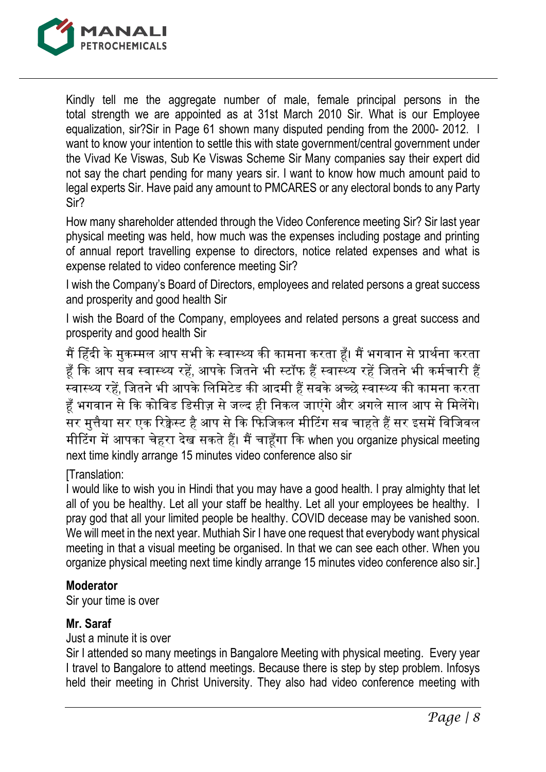

Kindly tell me the aggregate number of male, female principal persons in the total strength we are appointed as at 31st March 2010 Sir. What is our Employee equalization, sir?Sir in Page 61 shown many disputed pending from the 2000- 2012. I want to know your intention to settle this with state government/central government under the Vivad Ke Viswas, Sub Ke Viswas Scheme Sir Many companies say their expert did not say the chart pending for many years sir. I want to know how much amount paid to legal experts Sir. Have paid any amount to PMCARES or any electoral bonds to any Party Sir?

How many shareholder attended through the Video Conference meeting Sir? Sir last year physical meeting was held, how much was the expenses including postage and printing of annual report travelling expense to directors, notice related expenses and what is expense related to video conference meeting Sir?

I wish the Company's Board of Directors, employees and related persons a great success and prosperity and good health Sir

I wish the Board of the Company, employees and related persons a great success and prosperity and good health Sir

मैं हिंदी के मुकम्मल आप सभी के स्वास्थ्य की कामना करता हैं। मैं भगवान से प्रार्थना करता हूँ कि आप सब स्वास्थ्य रहें, आपके जितने भी स्टॉफ हैं स्वास्थ्य रहें जितने भी कर्मचारी हैं .<br>स्वास्थ्य रहें, जितने भी आपके लिमिटेड की आदमी हैं सबके अच्छे स्वास्थ्य की कामना करता हँ भगवान से कि कोविड डिसीज़ से जल्द ही निकल जाएंगे और अगले साल आप से मिलेंगे। सर मुत्तैया सर एक रिक्वेस्ट है आप से कि फिजिकल मीटिंग सब चाहते हैं सर इसमें विजिवल मीटिंग में आपका चेहरा देख सकते हैं। मैं चाहूँगा कि when you organize physical meeting next time kindly arrange 15 minutes video conference also sir

# [Translation:

I would like to wish you in Hindi that you may have a good health. I pray almighty that let all of you be healthy. Let all your staff be healthy. Let all your employees be healthy. I pray god that all your limited people be healthy. COVID decease may be vanished soon. We will meet in the next year. Muthiah Sir I have one request that everybody want physical meeting in that a visual meeting be organised. In that we can see each other. When you organize physical meeting next time kindly arrange 15 minutes video conference also sir.]

# **Moderator**

Sir your time is over

# **Mr. Saraf**

Just a minute it is over

Sir I attended so many meetings in Bangalore Meeting with physical meeting. Every year I travel to Bangalore to attend meetings. Because there is step by step problem. Infosys held their meeting in Christ University. They also had video conference meeting with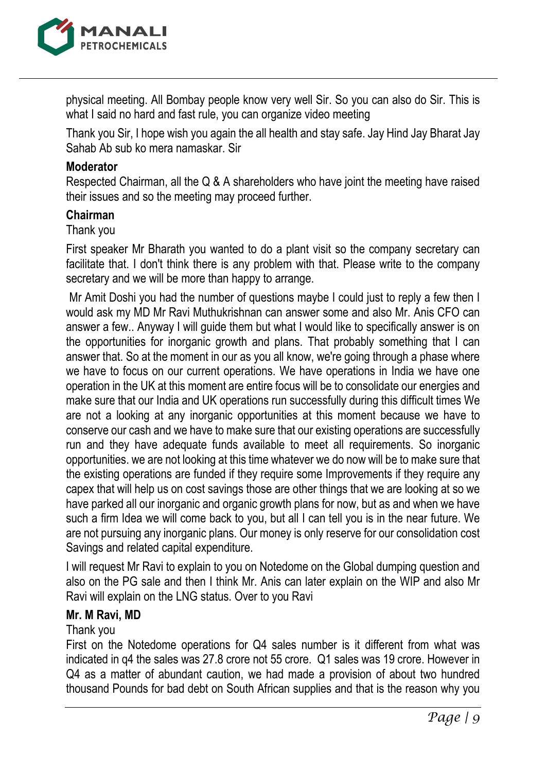

physical meeting. All Bombay people know very well Sir. So you can also do Sir. This is what I said no hard and fast rule, you can organize video meeting

Thank you Sir, I hope wish you again the all health and stay safe. Jay Hind Jay Bharat Jay Sahab Ab sub ko mera namaskar. Sir

#### **Moderator**

Respected Chairman, all the Q & A shareholders who have joint the meeting have raised their issues and so the meeting may proceed further.

### **Chairman**

#### Thank you

First speaker Mr Bharath you wanted to do a plant visit so the company secretary can facilitate that. I don't think there is any problem with that. Please write to the company secretary and we will be more than happy to arrange.

Mr Amit Doshi you had the number of questions maybe I could just to reply a few then I would ask my MD Mr Ravi Muthukrishnan can answer some and also Mr. Anis CFO can answer a few.. Anyway I will guide them but what I would like to specifically answer is on the opportunities for inorganic growth and plans. That probably something that I can answer that. So at the moment in our as you all know, we're going through a phase where we have to focus on our current operations. We have operations in India we have one operation in the UK at this moment are entire focus will be to consolidate our energies and make sure that our India and UK operations run successfully during this difficult times We are not a looking at any inorganic opportunities at this moment because we have to conserve our cash and we have to make sure that our existing operations are successfully run and they have adequate funds available to meet all requirements. So inorganic opportunities. we are not looking at this time whatever we do now will be to make sure that the existing operations are funded if they require some Improvements if they require any capex that will help us on cost savings those are other things that we are looking at so we have parked all our inorganic and organic growth plans for now, but as and when we have such a firm Idea we will come back to you, but all I can tell you is in the near future. We are not pursuing any inorganic plans. Our money is only reserve for our consolidation cost Savings and related capital expenditure.

I will request Mr Ravi to explain to you on Notedome on the Global dumping question and also on the PG sale and then I think Mr. Anis can later explain on the WIP and also Mr Ravi will explain on the LNG status. Over to you Ravi

#### **Mr. M Ravi, MD**

## Thank you

First on the Notedome operations for Q4 sales number is it different from what was indicated in q4 the sales was 27.8 crore not 55 crore. Q1 sales was 19 crore. However in Q4 as a matter of abundant caution, we had made a provision of about two hundred thousand Pounds for bad debt on South African supplies and that is the reason why you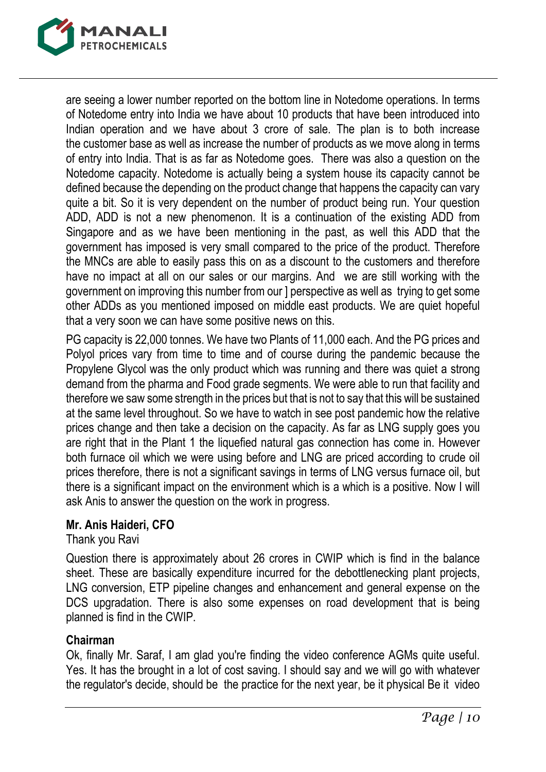

are seeing a lower number reported on the bottom line in Notedome operations. In terms of Notedome entry into India we have about 10 products that have been introduced into Indian operation and we have about 3 crore of sale. The plan is to both increase the customer base as well as increase the number of products as we move along in terms of entry into India. That is as far as Notedome goes. There was also a question on the Notedome capacity. Notedome is actually being a system house its capacity cannot be defined because the depending on the product change that happens the capacity can vary quite a bit. So it is very dependent on the number of product being run. Your question ADD, ADD is not a new phenomenon. It is a continuation of the existing ADD from Singapore and as we have been mentioning in the past, as well this ADD that the government has imposed is very small compared to the price of the product. Therefore the MNCs are able to easily pass this on as a discount to the customers and therefore have no impact at all on our sales or our margins. And we are still working with the government on improving this number from our ] perspective as well as trying to get some other ADDs as you mentioned imposed on middle east products. We are quiet hopeful that a very soon we can have some positive news on this.

PG capacity is 22,000 tonnes. We have two Plants of 11,000 each. And the PG prices and Polyol prices vary from time to time and of course during the pandemic because the Propylene Glycol was the only product which was running and there was quiet a strong demand from the pharma and Food grade segments. We were able to run that facility and therefore we saw some strength in the prices but that is not to say that this will be sustained at the same level throughout. So we have to watch in see post pandemic how the relative prices change and then take a decision on the capacity. As far as LNG supply goes you are right that in the Plant 1 the liquefied natural gas connection has come in. However both furnace oil which we were using before and LNG are priced according to crude oil prices therefore, there is not a significant savings in terms of LNG versus furnace oil, but there is a significant impact on the environment which is a which is a positive. Now I will ask Anis to answer the question on the work in progress.

## **Mr. Anis Haideri, CFO**

Thank you Ravi

Question there is approximately about 26 crores in CWIP which is find in the balance sheet. These are basically expenditure incurred for the debottlenecking plant projects, LNG conversion, ETP pipeline changes and enhancement and general expense on the DCS upgradation. There is also some expenses on road development that is being planned is find in the CWIP.

# **Chairman**

Ok, finally Mr. Saraf, I am glad you're finding the video conference AGMs quite useful. Yes. It has the brought in a lot of cost saving. I should say and we will go with whatever the regulator's decide, should be the practice for the next year, be it physical Be it video